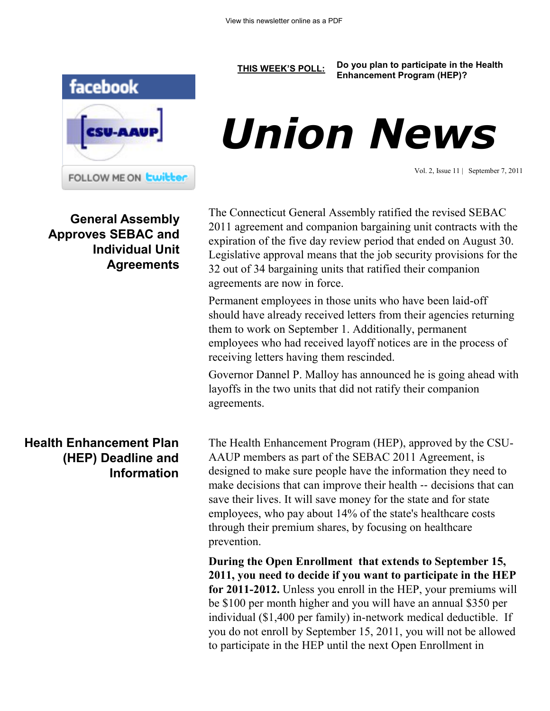

**General Assembly Approves SEBAC and Individual Unit Agreements**

## **Health Enhancement Plan (HEP) Deadline and Information**

**[THIS WEEK'S POLL:](http://www.csuaaup.org/) Do you plan to participate in the Health Enhancement Program (HEP)?**

# *Union News*

Vol. 2, Issue 11 | September 7, 2011

The Connecticut General Assembly ratified the revised SEBAC 2011 agreement and companion bargaining unit contracts with the expiration of the five day review period that ended on August 30. Legislative approval means that the job security provisions for the 32 out of 34 bargaining units that ratified their companion agreements are now in force.

Permanent employees in those units who have been laid-off should have already received letters from their agencies returning them to work on September 1. Additionally, permanent employees who had received layoff notices are in the process of receiving letters having them rescinded.

Governor Dannel P. Malloy has announced he is going ahead with layoffs in the two units that did not ratify their companion agreements.

The Health Enhancement Program (HEP), approved by the CSU-AAUP members as part of the SEBAC 2011 Agreement, is designed to make sure people have the information they need to make decisions that can improve their health ‐‐ decisions that can save their lives. It will save money for the state and for state employees, who pay about 14% of the state's healthcare costs through their premium shares, by focusing on healthcare prevention.

**During the Open Enrollment that extends to September 15, 2011, you need to decide if you want to participate in the HEP for 2011-2012.** Unless you enroll in the HEP, your premiums will be \$100 per month higher and you will have an annual \$350 per individual (\$1,400 per family) in-network medical deductible. If you do not enroll by September 15, 2011, you will not be allowed to participate in the HEP until the next Open Enrollment in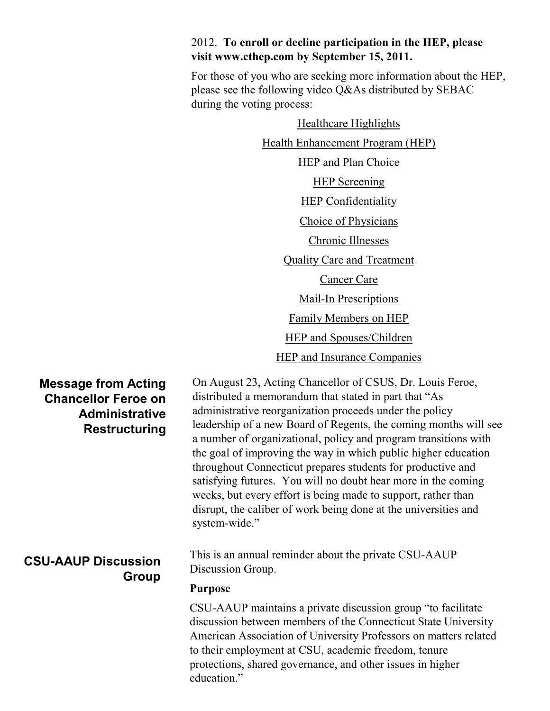## 2012. **To enroll or decline participation in the HEP, please visit www.cthep.com by September 15, 2011.**

For those of you who are seeking more information about the HEP, please see the following video Q&As distributed by SEBAC during the voting process:

> [Healthcare Highlights](http://www.youtube.com/watch?v=ubiMPALKf_g) [Health Enhancement Program \(HEP\)](http://www.youtube.com/watch?v=Gc6yC_O9-fk) [HEP and Plan Choice](http://www.youtube.com/watch?v=qArbGiU9Xh0) [HEP Screening](http://www.youtube.com/watch?v=TB_OCsYRA1o) **[HEP Confidentiality](http://www.youtube.com/watch?v=u9-lVnh-vWI)** [Choice of Physicians](http://www.youtube.com/watch?v=X5_Ev5tuzp0) [Chronic Illnesses](http://www.youtube.com/watch?v=Da4xGoRrZms) [Quality Care and Treatment](http://www.youtube.com/watch?v=GKZ-3gTRhXE) [Cancer Care](http://www.youtube.com/watch?v=EW0ZQ1Yv4EI) [Mail-In Prescriptions](http://www.youtube.com/watch?v=cYZT2tGzg4o) [Family Members on HEP](http://www.youtube.com/watch?v=2TwRZ-IZmBk) [HEP and Spouses/Children](http://www.youtube.com/watch?v=ytV0vAmVKtc) [HEP and Insurance Companies](http://www.youtube.com/watch?v=uEr-HUBC6rg)

## **Message from Acting Chancellor Feroe on Administrative Restructuring**

# **CSU-AAUP Discussion Group**

On August 23, Acting Chancellor of CSUS, Dr. Louis Feroe, distributed a memorandum that stated in part that "As administrative reorganization proceeds under the policy leadership of a new Board of Regents, the coming months will see a number of organizational, policy and program transitions with the goal of improving the way in which public higher education throughout Connecticut prepares students for productive and satisfying futures. You will no doubt hear more in the coming weeks, but every effort is being made to support, rather than disrupt, the caliber of work being done at the universities and system-wide."

This is an annual reminder about the private CSU-AAUP Discussion Group.

#### **Purpose**

CSU-AAUP maintains a private discussion group "to facilitate discussion between members of the Connecticut State University American Association of University Professors on matters related to their employment at CSU, academic freedom, tenure protections, shared governance, and other issues in higher education."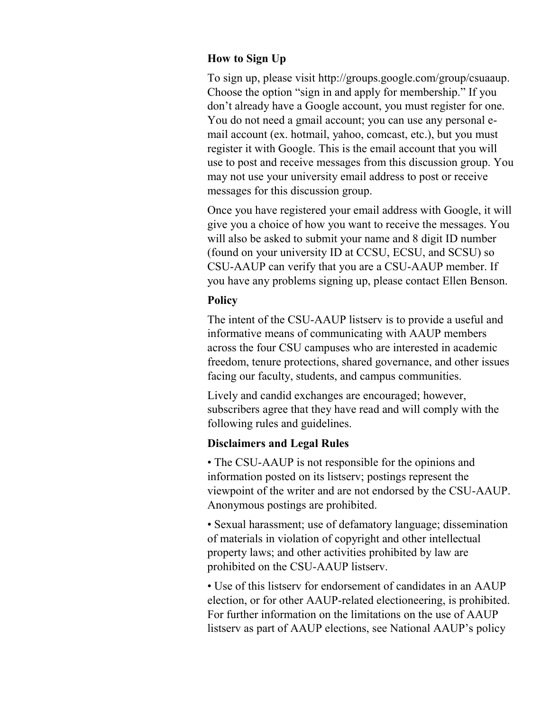### **How to Sign Up**

To sign up, please visit http://groups.google.com/group/csuaaup. Choose the option "sign in and apply for membership." If you don't already have a Google account, you must register for one. You do not need a gmail account; you can use any personal email account (ex. hotmail, yahoo, comcast, etc.), but you must register it with Google. This is the email account that you will use to post and receive messages from this discussion group. You may not use your university email address to post or receive messages for this discussion group.

Once you have registered your email address with Google, it will give you a choice of how you want to receive the messages. You will also be asked to submit your name and 8 digit ID number (found on your university ID at CCSU, ECSU, and SCSU) so CSU-AAUP can verify that you are a CSU-AAUP member. If you have any problems signing up, please contact Ellen Benson.

#### **Policy**

The intent of the CSU-AAUP listserv is to provide a useful and informative means of communicating with AAUP members across the four CSU campuses who are interested in academic freedom, tenure protections, shared governance, and other issues facing our faculty, students, and campus communities.

Lively and candid exchanges are encouraged; however, subscribers agree that they have read and will comply with the following rules and guidelines.

#### **Disclaimers and Legal Rules**

• The CSU-AAUP is not responsible for the opinions and information posted on its listserv; postings represent the viewpoint of the writer and are not endorsed by the CSU-AAUP. Anonymous postings are prohibited.

• Sexual harassment; use of defamatory language; dissemination of materials in violation of copyright and other intellectual property laws; and other activities prohibited by law are prohibited on the CSU-AAUP listserv.

• Use of this listserv for endorsement of candidates in an AAUP election, or for other AAUP-related electioneering, is prohibited. For further information on the limitations on the use of AAUP listserv as part of AAUP elections, see National AAUP's policy